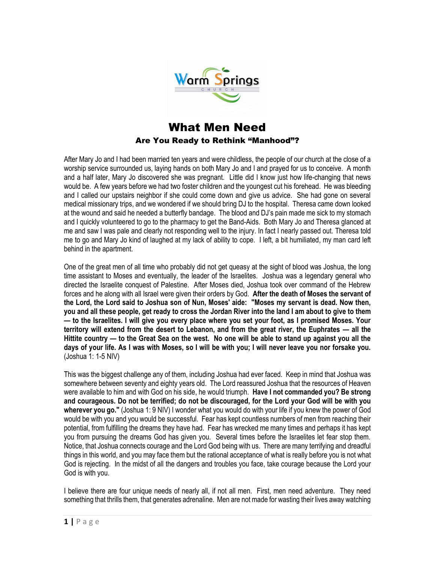

## What Men Need Are You Ready to Rethink "Manhood"?

After Mary Jo and I had been married ten years and were childless, the people of our church at the close of a worship service surrounded us, laying hands on both Mary Jo and I and prayed for us to conceive. A month and a half later, Mary Jo discovered she was pregnant. Little did I know just how life-changing that news would be. A few years before we had two foster children and the youngest cut his forehead. He was bleeding and I called our upstairs neighbor if she could come down and give us advice. She had gone on several medical missionary trips, and we wondered if we should bring DJ to the hospital. Theresa came down looked at the wound and said he needed a butterfly bandage. The blood and DJ's pain made me sick to my stomach and I quickly volunteered to go to the pharmacy to get the Band-Aids. Both Mary Jo and Theresa glanced at me and saw I was pale and clearly not responding well to the injury. In fact I nearly passed out. Theresa told me to go and Mary Jo kind of laughed at my lack of ability to cope. I left, a bit humiliated, my man card left behind in the apartment.

One of the great men of all time who probably did not get queasy at the sight of blood was Joshua, the long time assistant to Moses and eventually, the leader of the Israelites. Joshua was a legendary general who directed the Israelite conquest of Palestine. After Moses died, Joshua took over command of the Hebrew forces and he along with all Israel were given their orders by God. **After the death of Moses the servant of the Lord, the Lord said to Joshua son of Nun, Moses' aide: "Moses my servant is dead. Now then, you and all these people, get ready to cross the Jordan River into the land I am about to give to them — to the Israelites. I will give you every place where you set your foot, as I promised Moses. Your territory will extend from the desert to Lebanon, and from the great river, the Euphrates — all the Hittite country — to the Great Sea on the west. No one will be able to stand up against you all the days of your life. As I was with Moses, so I will be with you; I will never leave you nor forsake you.**  (Joshua 1: 1-5 NIV)

This was the biggest challenge any of them, including Joshua had ever faced. Keep in mind that Joshua was somewhere between seventy and eighty years old. The Lord reassured Joshua that the resources of Heaven were available to him and with God on his side, he would triumph. **Have I not commanded you? Be strong and courageous. Do not be terrified; do not be discouraged, for the Lord your God will be with you wherever you go."** (Joshua 1: 9 NIV) I wonder what you would do with your life if you knew the power of God would be with you and you would be successful. Fear has kept countless numbers of men from reaching their potential, from fulfilling the dreams they have had. Fear has wrecked me many times and perhaps it has kept you from pursuing the dreams God has given you. Several times before the Israelites let fear stop them. Notice, that Joshua connects courage and the Lord God being with us. There are many terrifying and dreadful things in this world, and you may face them but the rational acceptance of what is really before you is not what God is rejecting. In the midst of all the dangers and troubles you face, take courage because the Lord your God is with you.

I believe there are four unique needs of nearly all, if not all men. First, men need adventure. They need something that thrills them, that generates adrenaline. Men are not made for wasting their lives away watching